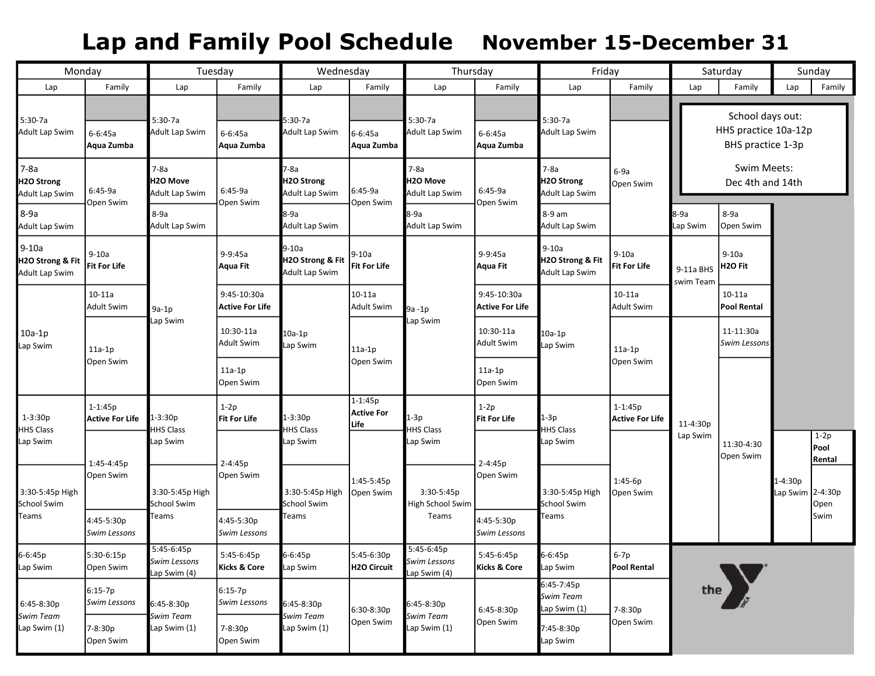# Lap and Family Pool Schedule November 15-December 31

| Monday                                         |                                                     | Tuesday                                        |                                       | Wednesday                                      |                                          | Thursday                                                       |                                       | Friday                                        |                                 | Saturday                        |                                                               | Sunday                      |                          |
|------------------------------------------------|-----------------------------------------------------|------------------------------------------------|---------------------------------------|------------------------------------------------|------------------------------------------|----------------------------------------------------------------|---------------------------------------|-----------------------------------------------|---------------------------------|---------------------------------|---------------------------------------------------------------|-----------------------------|--------------------------|
| Lap                                            | Family                                              | Lap                                            | Family                                | Lap                                            | Family                                   | Lap                                                            | Family                                | Lap                                           | Family                          | Lap                             | Family                                                        | Lap                         | Family                   |
| 5:30-7a<br>Adult Lap Swim                      | 6-6:45a<br>Aqua Zumba                               | $5:30-7a$<br><b>Adult Lap Swim</b>             | $6 - 6:45a$<br>Aqua Zumba             | $5:30-7a$<br><b>Adult Lap Swim</b>             | $6 - 6:45a$<br>Aqua Zumba                | 5:30-7a<br>Adult Lap Swim                                      | $6 - 6:45a$<br>Aqua Zumba             | $5:30-7a$<br>Adult Lap Swim                   |                                 |                                 | School days out:<br>HHS practice 10a-12p<br>BHS practice 1-3p |                             |                          |
| $7-8a$<br>H2O Strong<br>Adult Lap Swim         | $6:45-9a$<br>Open Swim                              | $7-8a$<br>H2O Move<br>Adult Lap Swim           | 6:45-9a<br>Open Swim                  | 7-8a<br>H2O Strong<br>Adult Lap Swim           | 6:45-9a<br>Open Swim                     | $7-8a$<br>H2O Move<br>Adult Lap Swim<br>8-9a<br>Adult Lap Swim | 6:45-9a<br>Open Swim                  | $7-8a$<br>H2O Strong<br>Adult Lap Swim        | $6-9a$<br>Open Swim             | Swim Meets:<br>Dec 4th and 14th |                                                               |                             |                          |
| $8-9a$<br>Adult Lap Swim                       |                                                     | 8-9a<br>Adult Lap Swim                         |                                       | 8-9a<br><b>Adult Lap Swim</b>                  |                                          |                                                                |                                       | 8-9 am<br>Adult Lap Swim                      |                                 | 8-9a<br>Lap Swim                | 8-9a<br>Open Swim                                             |                             |                          |
| $9-10a$<br>H2O Strong & Fit<br>Adult Lap Swim  | $9-10a$<br>Fit For Life                             | $9a-1p$<br>Lap Swim                            | 9-9:45a<br>Aqua Fit                   | $9-10a$<br>H2O Strong & Fit<br>Adult Lap Swim  | $9-10a$<br>Fit For Life                  | 9a-1p<br>Lap Swim                                              | 9-9:45a<br>Aqua Fit                   | $9-10a$<br>H2O Strong & Fit<br>Adult Lap Swim | $9-10a$<br><b>Fit For Life</b>  | 9-11a BHS<br>swim Team          | $9-10a$<br>H <sub>2</sub> O Fit                               |                             |                          |
| $10a-1p$<br>Lap Swim                           | $10-11a$<br>Adult Swim                              |                                                | 9:45-10:30a<br><b>Active For Life</b> | $10a-1p$<br>Lap Swim                           | $10-11a$<br><b>Adult Swim</b>            |                                                                | 9:45-10:30a<br><b>Active For Life</b> | 10a-1p<br>Lap Swim                            | $10 - 11a$<br><b>Adult Swim</b> | $10-11a$<br><b>Pool Rental</b>  |                                                               |                             |                          |
|                                                | $11a-1p$<br>Open Swim                               |                                                | 10:30-11a<br><b>Adult Swim</b>        |                                                | 11a-1p<br>Open Swim                      |                                                                | 10:30-11a<br><b>Adult Swim</b>        |                                               | $11a-1p$<br>Open Swim           |                                 | 11-11:30a<br>Swim Lessons                                     |                             |                          |
|                                                |                                                     |                                                | $11a-1p$<br>Open Swim                 |                                                |                                          |                                                                | 11a-1p<br>Open Swim                   |                                               |                                 | 11-4:30p<br>Lap Swim            |                                                               |                             |                          |
| $1 - 3:30p$<br><b>HHS Class</b>                | $1 - 1:45p$<br><b>Active For Life</b><br>1:45-4:45p | -3:30p<br><b>HS Class</b>                      | $1-2p$<br>Fit For Life                | 1-3:30p<br><b>HS Class</b><br>Lap Swim         | $1 - 1:45p$<br><b>Active For</b><br>Life | $1-3p$<br><b>HHS Class</b><br>Lap Swim                         | $1-2p$<br>Fit For Life                | $1-3p$<br><b>HHS Class</b><br>Lap Swim        | $1 - 1:45p$<br>Active For Life  |                                 | 11:30-4:30<br>Open Swim                                       |                             |                          |
| Lap Swim                                       |                                                     | Lap Swim                                       | 2-4:45p                               |                                                |                                          |                                                                | $2 - 4:45p$                           |                                               | $1:45-6p$<br>Open Swim          |                                 |                                                               |                             | $1-2p$<br>Pool<br>Rental |
| 3:30-5:45p High<br><b>School Swim</b><br>Teams | Open Swim                                           | 3:30-5:45p High<br>School Swim<br><b>Teams</b> | Open Swim                             | 3:30-5:45p High<br><b>School Swim</b><br>Teams | 1:45-5:45p<br>Open Swim                  | 3:30-5:45p<br>High School Swim<br>Teams                        | Open Swim                             | 3:30-5:45p High<br>School Swim<br>Teams       |                                 |                                 |                                                               | 1-4:30p<br>Lap Swim 2-4:30p | Open<br>Swim             |
|                                                | 4:45-5:30p<br>Swim Lessons                          |                                                | 4:45-5:30p<br><b>Swim Lessons</b>     |                                                |                                          |                                                                | 4:45-5:30p<br><b>Swim Lessons</b>     |                                               |                                 |                                 |                                                               |                             |                          |
| 6-6:45p<br>Lap Swim                            | 5:30-6:15p<br>Open Swim                             | $5:45-6:45p$<br>Swim Lessons<br>Lap Swim (4)   | 5:45-6:45p<br>Kicks & Core            | 6-6:45p<br>Lap Swim                            | 5:45-6:30p<br>H2O Circuit                | $5:45-6:45p$<br>Swim Lessons<br>Lap Swim (4)                   | 5:45-6:45p<br>Kicks & Core            | 6-6:45p<br>Lap Swim                           | $6-7p$<br>Pool Rental           |                                 |                                                               |                             |                          |
| 6:45-8:30p<br>Swim Team<br>Lap Swim (1)        | $6:15-7p$<br>Swim Lessons                           | 6:45-8:30p<br>Swim Team<br>Lap Swim (1)        | $6:15-7p$<br><b>Swim Lessons</b>      | 6:45-8:30p<br>Swim Team<br>Lap Swim (1)        | 6:30-8:30p<br>Open Swim                  | 6:45-8:30p<br>Swim Team<br>Lap Swim (1)                        | 6:45-8:30p<br>Open Swim               | 6:45-7:45p<br>Swim Team<br>Lap Swim (1)       | 7-8:30p                         | the $\sqrt{ }$                  |                                                               |                             |                          |
|                                                | 7-8:30p<br>Open Swim                                |                                                | 7-8:30p<br>Open Swim                  |                                                |                                          |                                                                |                                       | 7:45-8:30p<br>Lap Swim                        | Open Swim                       |                                 |                                                               |                             |                          |